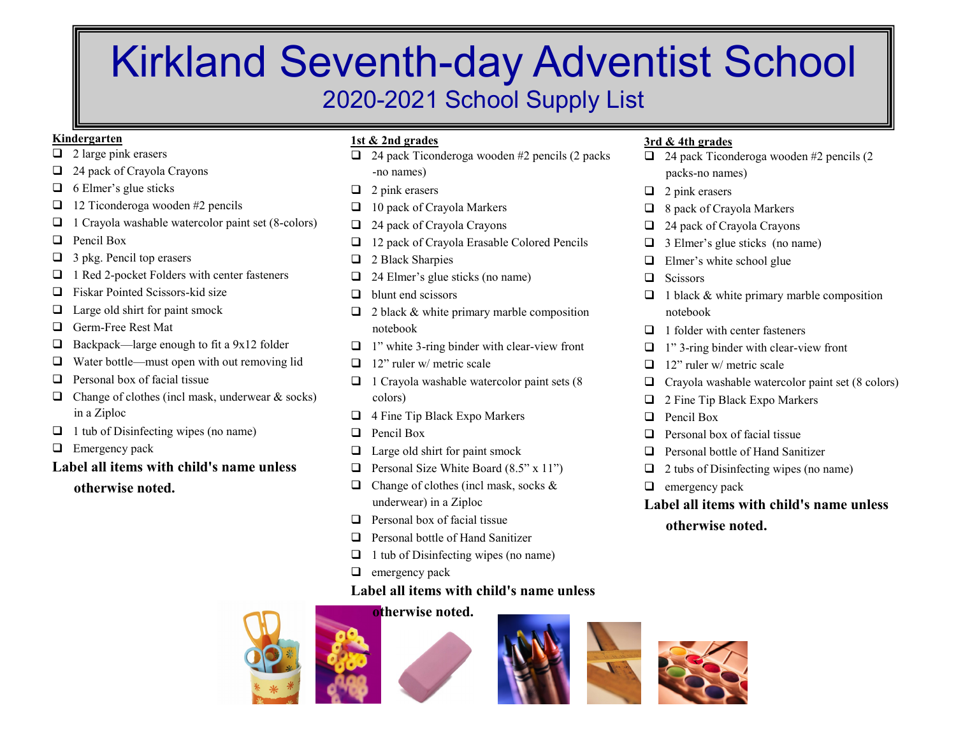# Kirkland Seventh-day Adventist School 2020-2021 School Supply List

## **Kindergarten**

- $\Box$  2 large pink erasers
- $\Box$  24 pack of Crayola Crayons
- $\Box$  6 Elmer's glue sticks
- $\Box$  12 Ticonderoga wooden #2 pencils
- $\Box$  1 Crayola washable watercolor paint set (8-colors)
- $\Box$  Pencil Box
- $\Box$  3 pkg. Pencil top erasers
- $\Box$  1 Red 2-pocket Folders with center fasteners
- $\Box$  Fiskar Pointed Scissors-kid size
- $\Box$  Large old shirt for paint smock
- **Q** Germ-Free Rest Mat
- $\Box$  Backpack—large enough to fit a 9x12 folder
- $\Box$  Water bottle—must open with out removing lid
- $\Box$  Personal box of facial tissue
- $\Box$  Change of clothes (incl mask, underwear & socks) in a Ziploc
- $\Box$  1 tub of Disinfecting wipes (no name)
- $\Box$  Emergency pack

# **Label all items with child's name unless otherwise noted.**

# **1st & 2nd grades**

- $\Box$  24 pack Ticonderoga wooden #2 pencils (2 packs) -no names)
- $\Box$  2 pink erasers
- $\Box$  10 pack of Crayola Markers
- $\Box$  24 pack of Crayola Crayons
- $\Box$  12 pack of Crayola Erasable Colored Pencils
- $\Box$  2 Black Sharpies
- $\Box$  24 Elmer's glue sticks (no name)
- $\Box$  blunt end scissors
- $\Box$  2 black & white primary marble composition notebook
- $\Box$  1" white 3-ring binder with clear-view front
- $\Box$  12" ruler w/ metric scale
- $\Box$  1 Crayola washable watercolor paint sets (8) colors)
- $\Box$  4 Fine Tip Black Expo Markers
- $\Box$  Pencil Box
- $\Box$  Large old shirt for paint smock
- **q** Personal Size White Board  $(8.5" \times 11")$
- $\Box$  Change of clothes (incl mask, socks & underwear) in a Ziploc
- $\Box$  Personal box of facial tissue
- $\Box$  Personal bottle of Hand Sanitizer
- $\Box$  1 tub of Disinfecting wipes (no name)
- $\Box$  emergency pack

# **Label all items with child's name unless**







# **3rd & 4th grades**

- $\Box$  24 pack Ticonderoga wooden #2 pencils (2 packs-no names)
- $\Box$  2 pink erasers
- $\Box$  8 pack of Crayola Markers
- $\Box$  24 pack of Crayola Crayons
- $\Box$  3 Elmer's glue sticks (no name)
- $\Box$  Elmer's white school glue
- $\Box$  Scissors
- $\Box$  1 black & white primary marble composition notebook
- $\Box$  1 folder with center fasteners
- $\Box$  1" 3-ring binder with clear-view front
- $\Box$  12" ruler w/ metric scale
- $\Box$  Crayola washable watercolor paint set (8 colors)
- $\Box$  2 Fine Tip Black Expo Markers
- $\Box$  Pencil Box
- $\Box$  Personal box of facial tissue
- $\Box$  Personal bottle of Hand Sanitizer
- $\Box$  2 tubs of Disinfecting wipes (no name)
- $\Box$  emergency pack
- **Label all items with child's name unless**

**otherwise noted.**